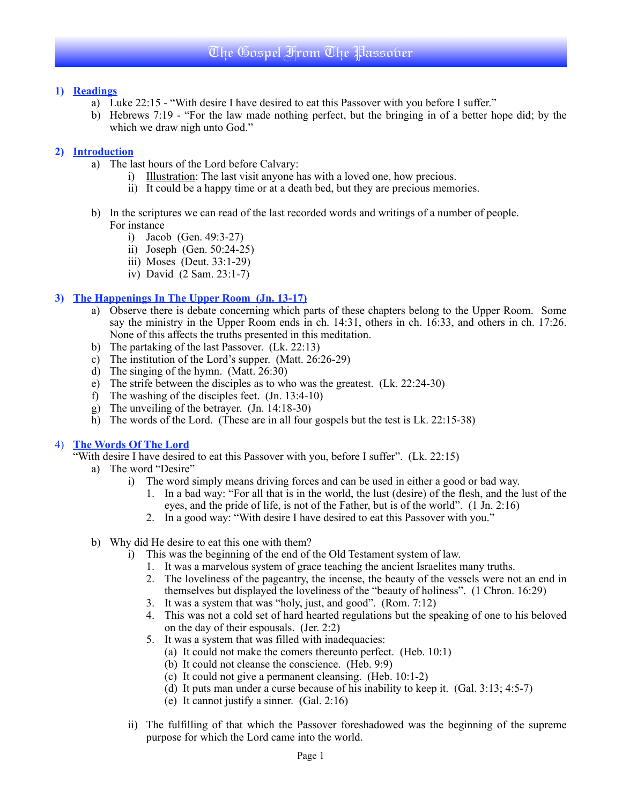## **1) Readings**

- a) Luke 22:15 "With desire I have desired to eat this Passover with you before I suffer."
- b) Hebrews 7:19 "For the law made nothing perfect, but the bringing in of a better hope did; by the which we draw nigh unto God."

## **2) Introduction**

- a) The last hours of the Lord before Calvary:
	- i) Illustration: The last visit anyone has with a loved one, how precious.
	- ii) It could be a happy time or at a death bed, but they are precious memories.
- b) In the scriptures we can read of the last recorded words and writings of a number of people. For instance
	- i) Jacob (Gen. 49:3-27)
	- ii) Joseph (Gen. 50:24-25)
	- iii) Moses (Deut. 33:1-29)
	- iv) David (2 Sam. 23:1-7)

## **3) The Happenings In The Upper Room (Jn. 13-17)**

- a) Observe there is debate concerning which parts of these chapters belong to the Upper Room. Some say the ministry in the Upper Room ends in ch. 14:31, others in ch. 16:33, and others in ch. 17:26. None of this affects the truths presented in this meditation.
- b) The partaking of the last Passover. (Lk. 22:13)
- c) The institution of the Lord's supper. (Matt. 26:26-29)
- d) The singing of the hymn. (Matt. 26:30)
- e) The strife between the disciples as to who was the greatest. (Lk. 22:24-30)
- f) The washing of the disciples feet. (Jn. 13:4-10)
- g) The unveiling of the betrayer. (Jn. 14:18-30)
- h) The words of the Lord. (These are in all four gospels but the test is Lk. 22:15-38)

#### 4) **The Words Of The Lord**

"With desire I have desired to eat this Passover with you, before I suffer". (Lk. 22:15)

- a) The word "Desire"
	- i) The word simply means driving forces and can be used in either a good or bad way.
		- 1. In a bad way: "For all that is in the world, the lust (desire) of the flesh, and the lust of the eyes, and the pride of life, is not of the Father, but is of the world". (1 Jn. 2:16)
		- 2. In a good way: "With desire I have desired to eat this Passover with you."
- b) Why did He desire to eat this one with them?
	- i) This was the beginning of the end of the Old Testament system of law.
		- 1. It was a marvelous system of grace teaching the ancient Israelites many truths.
		- 2. The loveliness of the pageantry, the incense, the beauty of the vessels were not an end in themselves but displayed the loveliness of the "beauty of holiness". (1 Chron. 16:29)
		- 3. It was a system that was "holy, just, and good". (Rom. 7:12)
		- 4. This was not a cold set of hard hearted regulations but the speaking of one to his beloved on the day of their espousals. (Jer. 2:2)
		- 5. It was a system that was filled with inadequacies:
			- (a) It could not make the comers thereunto perfect. (Heb. 10:1)
			- (b) It could not cleanse the conscience. (Heb. 9:9)
			- (c) It could not give a permanent cleansing. (Heb. 10:1-2)
			- (d) It puts man under a curse because of his inability to keep it. (Gal. 3:13; 4:5-7)
			- (e) It cannot justify a sinner. (Gal. 2:16)
	- ii) The fulfilling of that which the Passover foreshadowed was the beginning of the supreme purpose for which the Lord came into the world.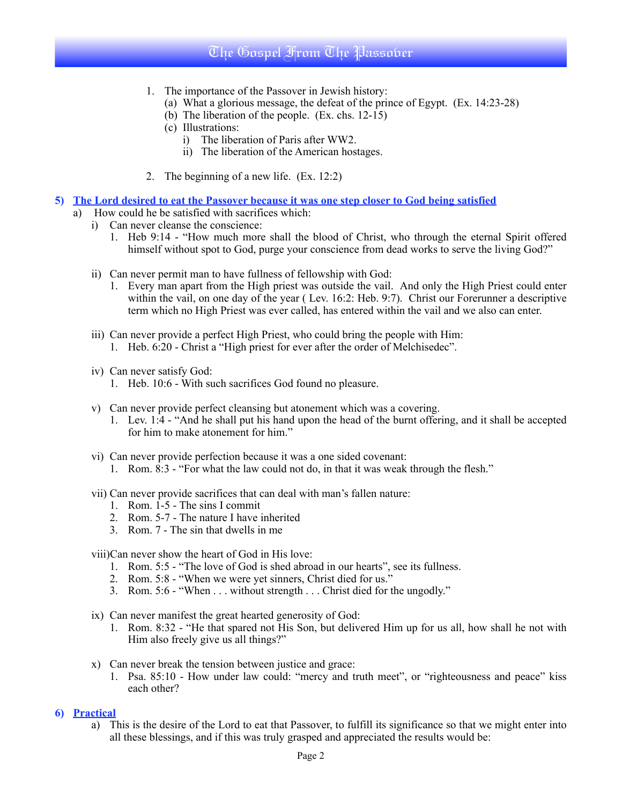# The Gospel From The Passover

- 1. The importance of the Passover in Jewish history:
	- (a) What a glorious message, the defeat of the prince of Egypt. (Ex. 14:23-28)
	- (b) The liberation of the people. (Ex. chs. 12-15)
	- (c) Illustrations:
		- i) The liberation of Paris after WW2.
		- ii) The liberation of the American hostages.
- 2. The beginning of a new life. (Ex. 12:2)
- **5) The Lord desired to eat the Passover because it was one step closer to God being satisfied**
	- a) How could he be satisfied with sacrifices which:
		- i) Can never cleanse the conscience:
			- 1. Heb 9:14 "How much more shall the blood of Christ, who through the eternal Spirit offered himself without spot to God, purge your conscience from dead works to serve the living God?"
			- ii) Can never permit man to have fullness of fellowship with God:
				- 1. Every man apart from the High priest was outside the vail. And only the High Priest could enter within the vail, on one day of the year ( Lev. 16:2: Heb. 9:7). Christ our Forerunner a descriptive term which no High Priest was ever called, has entered within the vail and we also can enter.
			- iii) Can never provide a perfect High Priest, who could bring the people with Him: 1. Heb. 6:20 - Christ a "High priest for ever after the order of Melchisedec".
			- iv) Can never satisfy God:
				- 1. Heb. 10:6 With such sacrifices God found no pleasure.
			- v) Can never provide perfect cleansing but atonement which was a covering.
				- 1. Lev. 1:4 "And he shall put his hand upon the head of the burnt offering, and it shall be accepted for him to make atonement for him."
			- vi) Can never provide perfection because it was a one sided covenant:
				- 1. Rom. 8:3 "For what the law could not do, in that it was weak through the flesh."
			- vii) Can never provide sacrifices that can deal with man's fallen nature:
				- 1. Rom. 1-5 The sins I commit
				- 2. Rom. 5-7 The nature I have inherited
				- 3. Rom. 7 The sin that dwells in me

viii)Can never show the heart of God in His love:

- 1. Rom. 5:5 "The love of God is shed abroad in our hearts", see its fullness.
- 2. Rom. 5:8 "When we were yet sinners, Christ died for us."
- 3. Rom. 5:6 "When . . . without strength . . . Christ died for the ungodly."
- ix) Can never manifest the great hearted generosity of God:
	- 1. Rom. 8:32 "He that spared not His Son, but delivered Him up for us all, how shall he not with Him also freely give us all things?"
- x) Can never break the tension between justice and grace:
	- 1. Psa. 85:10 How under law could: "mercy and truth meet", or "righteousness and peace" kiss each other?

#### **6) Practical**

a) This is the desire of the Lord to eat that Passover, to fulfill its significance so that we might enter into all these blessings, and if this was truly grasped and appreciated the results would be: